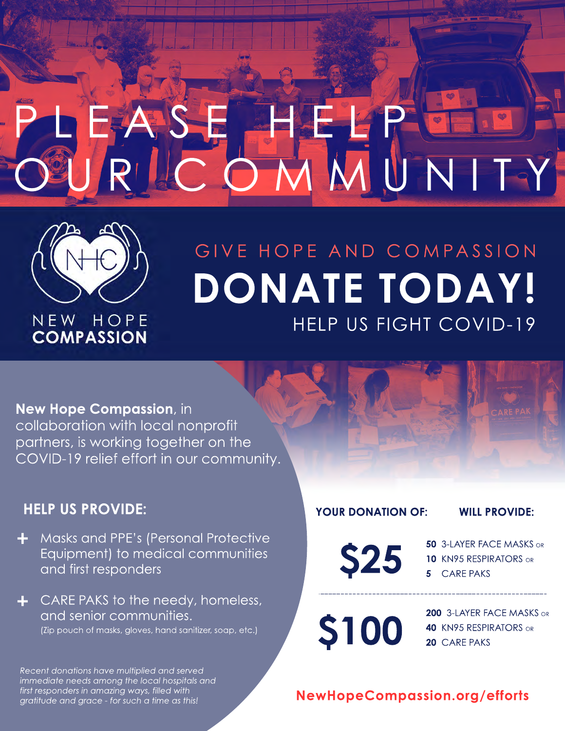# PLEASE HELPE OURLC OMMUNITY



# GIVE HOPE AND COMPASSION **DONATE TODAY!** HELP US FIGHT COVID-19

# **New Hope Compassion**, in

collaboration with local nonprofit partners, is working together on the COVID-19 relief effort in our community.

# **HELP US PROVIDE:**

Masks and PPE's (Personal Protective Equipment) to medical communities and first responders

**+** CARE PAKS to the needy, homeless, and senior communities. (Zip pouch of masks, gloves, hand sanitizer, soap, etc.)

**YOUR DONATION OF: WILL PROVIDE:**

**\$25 3-LAYER FACE MASKS OR**<br>**5** CARE PAKS **10** KN95 RESPIRATORS OR

**5** CARE PAKS

**200 3-LAYER FACE MASKS OR \$100 40** KN95 RESPIRATORS OR

*Recent donations have multiplied and served immediate needs among the local hospitals and first responders in amazing ways, filled with gratitude and grace - for such a time as this!*

# **NewHopeCompassion.org/efforts**